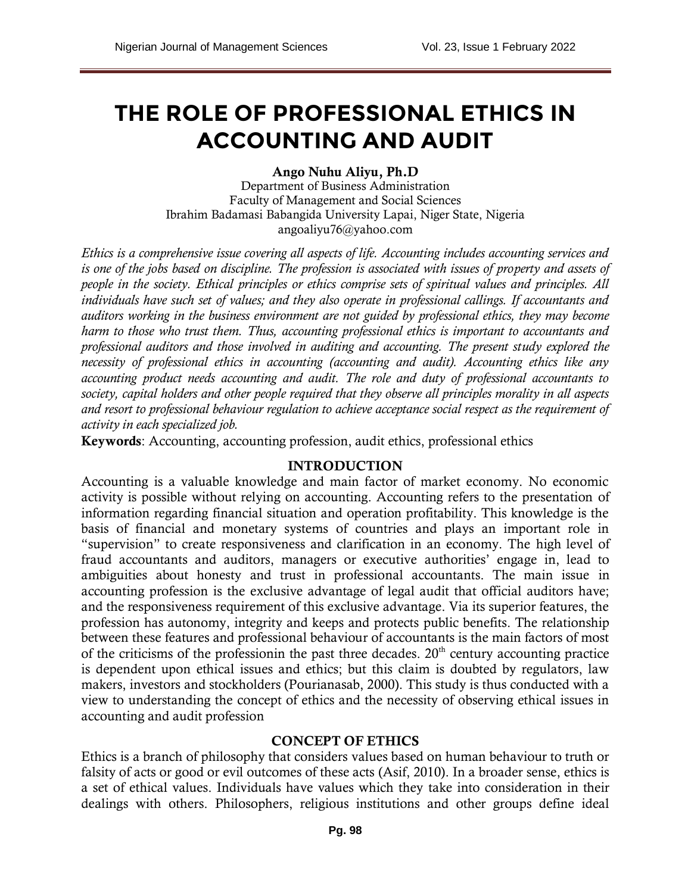# **THE ROLE OF PROFESSIONAL ETHICS IN ACCOUNTING AND AUDIT**

#### **Ango Nuhu Aliyu, Ph.D**

Department of Business Administration Faculty of Management and Social Sciences Ibrahim Badamasi Babangida University Lapai, Niger State, Nigeria [angoaliyu76@yahoo.com](mailto:angoaliyu76@yahoo.com)

*Ethics is a comprehensive issue covering all aspects of life. Accounting includes accounting services and is one of the jobs based on discipline. The profession is associated with issues of property and assets of people in the society. Ethical principles or ethics comprise sets of spiritual values and principles. All individuals have such set of values; and they also operate in professional callings. If accountants and auditors working in the business environment are not guided by professional ethics, they may become harm to those who trust them. Thus, accounting professional ethics is important to accountants and professional auditors and those involved in auditing and accounting. The present study explored the necessity of professional ethics in accounting (accounting and audit). Accounting ethics like any accounting product needs accounting and audit. The role and duty of professional accountants to society, capital holders and other people required that they observe all principles morality in all aspects and resort to professional behaviour regulation to achieve acceptance social respect as the requirement of activity in each specialized job.*

**Keywords**: Accounting, accounting profession, audit ethics, professional ethics

#### **INTRODUCTION**

Accounting is a valuable knowledge and main factor of market economy. No economic activity is possible without relying on accounting. Accounting refers to the presentation of information regarding financial situation and operation profitability. This knowledge is the basis of financial and monetary systems of countries and plays an important role in "supervision" to create responsiveness and clarification in an economy. The high level of fraud accountants and auditors, managers or executive authorities' engage in, lead to ambiguities about honesty and trust in professional accountants. The main issue in accounting profession is the exclusive advantage of legal audit that official auditors have; and the responsiveness requirement of this exclusive advantage. Via its superior features, the profession has autonomy, integrity and keeps and protects public benefits. The relationship between these features and professional behaviour of accountants is the main factors of most of the criticisms of the professionin the past three decades.  $20<sup>th</sup>$  century accounting practice is dependent upon ethical issues and ethics; but this claim is doubted by regulators, law makers, investors and stockholders (Pourianasab, 2000). This study is thus conducted with a view to understanding the concept of ethics and the necessity of observing ethical issues in accounting and audit profession

#### **CONCEPT OF ETHICS**

Ethics is a branch of philosophy that considers values based on human behaviour to truth or falsity of acts or good or evil outcomes of these acts (Asif, 2010). In a broader sense, ethics is a set of ethical values. Individuals have values which they take into consideration in their dealings with others. Philosophers, religious institutions and other groups define ideal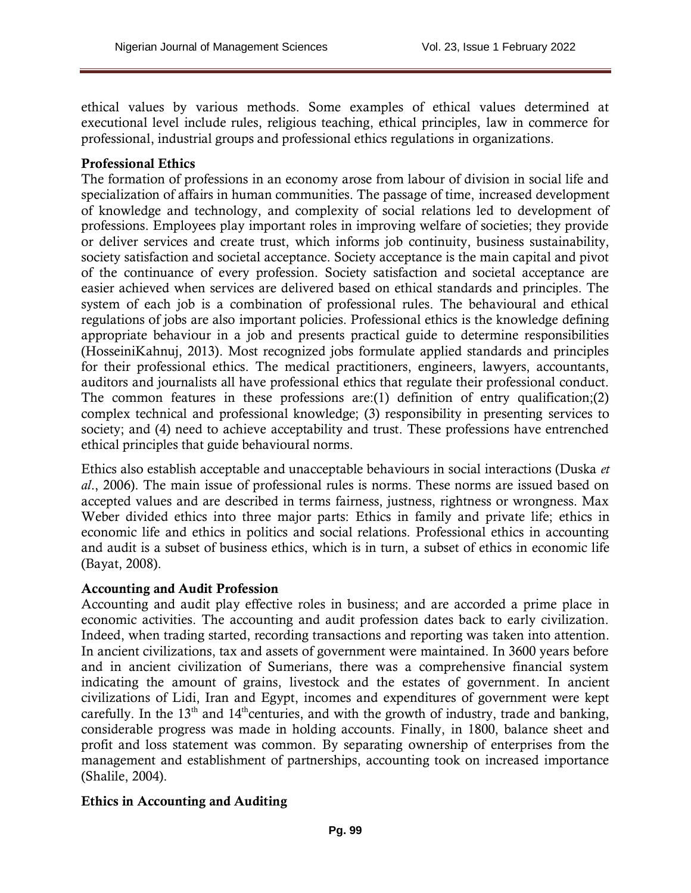ethical values by various methods. Some examples of ethical values determined at executional level include rules, religious teaching, ethical principles, law in commerce for professional, industrial groups and professional ethics regulations in organizations.

### **Professional Ethics**

The formation of professions in an economy arose from labour of division in social life and specialization of affairs in human communities. The passage of time, increased development of knowledge and technology, and complexity of social relations led to development of professions. Employees play important roles in improving welfare of societies; they provide or deliver services and create trust, which informs job continuity, business sustainability, society satisfaction and societal acceptance. Society acceptance is the main capital and pivot of the continuance of every profession. Society satisfaction and societal acceptance are easier achieved when services are delivered based on ethical standards and principles. The system of each job is a combination of professional rules. The behavioural and ethical regulations of jobs are also important policies. Professional ethics is the knowledge defining appropriate behaviour in a job and presents practical guide to determine responsibilities (HosseiniKahnuj, 2013). Most recognized jobs formulate applied standards and principles for their professional ethics. The medical practitioners, engineers, lawyers, accountants, auditors and journalists all have professional ethics that regulate their professional conduct. The common features in these professions are:(1) definition of entry qualification;(2) complex technical and professional knowledge; (3) responsibility in presenting services to society; and (4) need to achieve acceptability and trust. These professions have entrenched ethical principles that guide behavioural norms.

Ethics also establish acceptable and unacceptable behaviours in social interactions (Duska *et al*., 2006). The main issue of professional rules is norms. These norms are issued based on accepted values and are described in terms fairness, justness, rightness or wrongness. Max Weber divided ethics into three major parts: Ethics in family and private life; ethics in economic life and ethics in politics and social relations. Professional ethics in accounting and audit is a subset of business ethics, which is in turn, a subset of ethics in economic life (Bayat, 2008).

### **Accounting and Audit Profession**

Accounting and audit play effective roles in business; and are accorded a prime place in economic activities. The accounting and audit profession dates back to early civilization. Indeed, when trading started, recording transactions and reporting was taken into attention. In ancient civilizations, tax and assets of government were maintained. In 3600 years before and in ancient civilization of Sumerians, there was a comprehensive financial system indicating the amount of grains, livestock and the estates of government. In ancient civilizations of Lidi, Iran and Egypt, incomes and expenditures of government were kept carefully. In the 13<sup>th</sup> and 14<sup>th</sup> centuries, and with the growth of industry, trade and banking, considerable progress was made in holding accounts. Finally, in 1800, balance sheet and profit and loss statement was common. By separating ownership of enterprises from the management and establishment of partnerships, accounting took on increased importance (Shalile, 2004).

### **Ethics in Accounting and Auditing**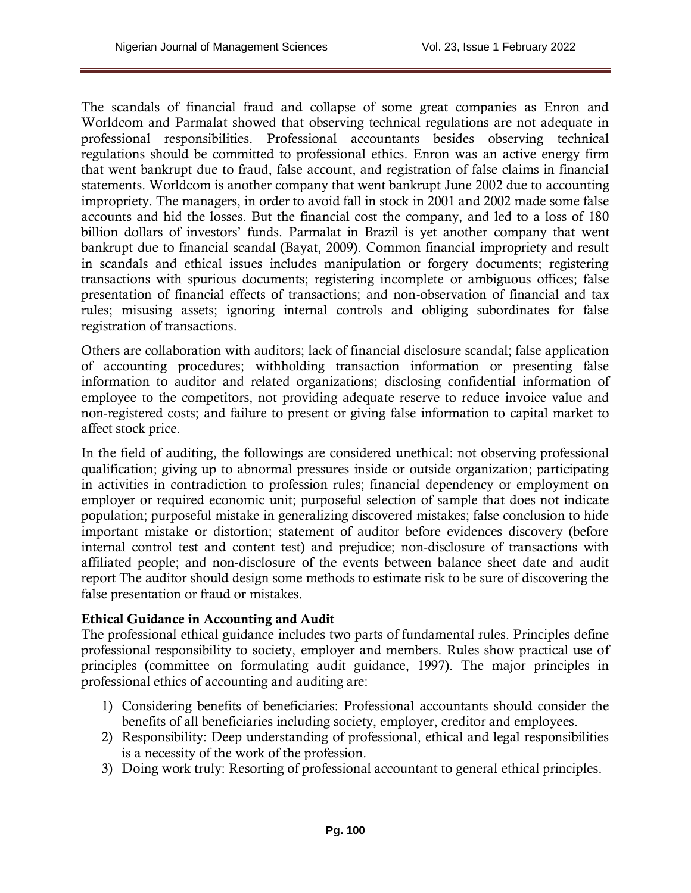The scandals of financial fraud and collapse of some great companies as Enron and Worldcom and Parmalat showed that observing technical regulations are not adequate in professional responsibilities. Professional accountants besides observing technical regulations should be committed to professional ethics. Enron was an active energy firm that went bankrupt due to fraud, false account, and registration of false claims in financial statements. Worldcom is another company that went bankrupt June 2002 due to accounting impropriety. The managers, in order to avoid fall in stock in 2001 and 2002 made some false accounts and hid the losses. But the financial cost the company, and led to a loss of 180 billion dollars of investors' funds. Parmalat in Brazil is yet another company that went bankrupt due to financial scandal (Bayat, 2009). Common financial impropriety and result in scandals and ethical issues includes manipulation or forgery documents; registering transactions with spurious documents; registering incomplete or ambiguous offices; false presentation of financial effects of transactions; and non-observation of financial and tax rules; misusing assets; ignoring internal controls and obliging subordinates for false registration of transactions.

Others are collaboration with auditors; lack of financial disclosure scandal; false application of accounting procedures; withholding transaction information or presenting false information to auditor and related organizations; disclosing confidential information of employee to the competitors, not providing adequate reserve to reduce invoice value and non-registered costs; and failure to present or giving false information to capital market to affect stock price.

In the field of auditing, the followings are considered unethical: not observing professional qualification; giving up to abnormal pressures inside or outside organization; participating in activities in contradiction to profession rules; financial dependency or employment on employer or required economic unit; purposeful selection of sample that does not indicate population; purposeful mistake in generalizing discovered mistakes; false conclusion to hide important mistake or distortion; statement of auditor before evidences discovery (before internal control test and content test) and prejudice; non-disclosure of transactions with affiliated people; and non-disclosure of the events between balance sheet date and audit report The auditor should design some methods to estimate risk to be sure of discovering the false presentation or fraud or mistakes.

### **Ethical Guidance in Accounting and Audit**

The professional ethical guidance includes two parts of fundamental rules. Principles define professional responsibility to society, employer and members. Rules show practical use of principles (committee on formulating audit guidance, 1997). The major principles in professional ethics of accounting and auditing are:

- 1) Considering benefits of beneficiaries: Professional accountants should consider the benefits of all beneficiaries including society, employer, creditor and employees.
- 2) Responsibility: Deep understanding of professional, ethical and legal responsibilities is a necessity of the work of the profession.
- 3) Doing work truly: Resorting of professional accountant to general ethical principles.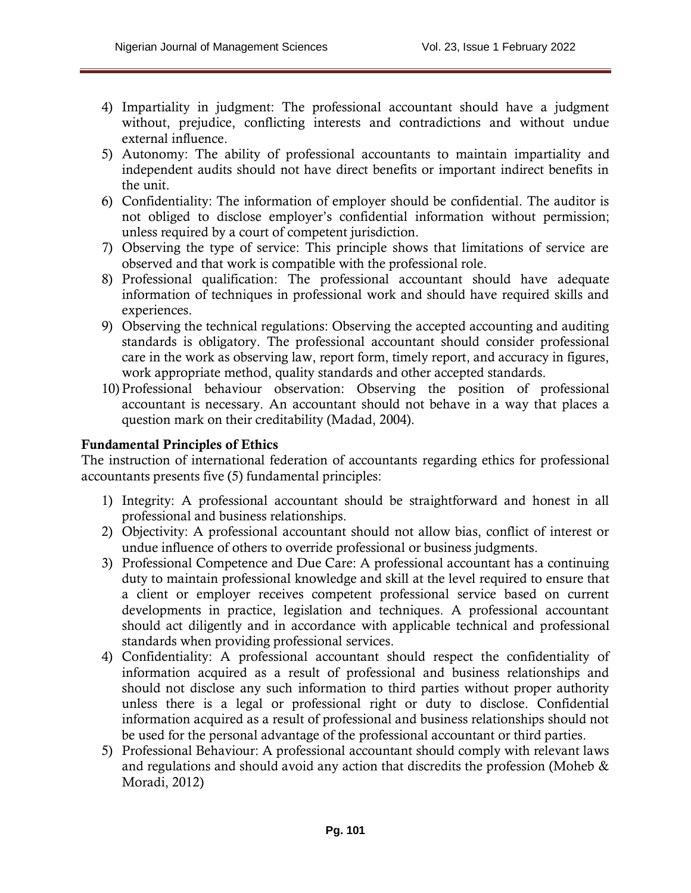- 4) Impartiality in judgment: The professional accountant should have a judgment without, prejudice, conflicting interests and contradictions and without undue external influence.
- 5) Autonomy: The ability of professional accountants to maintain impartiality and independent audits should not have direct benefits or important indirect benefits in the unit.
- 6) Confidentiality: The information of employer should be confidential. The auditor is not obliged to disclose employer's confidential information without permission; unless required by a court of competent jurisdiction.
- 7) Observing the type of service: This principle shows that limitations of service are observed and that work is compatible with the professional role.
- 8) Professional qualification: The professional accountant should have adequate information of techniques in professional work and should have required skills and experiences.
- 9) Observing the technical regulations: Observing the accepted accounting and auditing standards is obligatory. The professional accountant should consider professional care in the work as observing law, report form, timely report, and accuracy in figures, work appropriate method, quality standards and other accepted standards.
- 10) Professional behaviour observation: Observing the position of professional accountant is necessary. An accountant should not behave in a way that places a question mark on their creditability (Madad, 2004).

# **Fundamental Principles of Ethics**

The instruction of international federation of accountants regarding ethics for professional accountants presents five (5) fundamental principles:

- 1) Integrity: A professional accountant should be straightforward and honest in all professional and business relationships.
- 2) Objectivity: A professional accountant should not allow bias, conflict of interest or undue influence of others to override professional or business judgments.
- 3) Professional Competence and Due Care: A professional accountant has a continuing duty to maintain professional knowledge and skill at the level required to ensure that a client or employer receives competent professional service based on current developments in practice, legislation and techniques. A professional accountant should act diligently and in accordance with applicable technical and professional standards when providing professional services.
- 4) Confidentiality: A professional accountant should respect the confidentiality of information acquired as a result of professional and business relationships and should not disclose any such information to third parties without proper authority unless there is a legal or professional right or duty to disclose. Confidential information acquired as a result of professional and business relationships should not be used for the personal advantage of the professional accountant or third parties.
- 5) Professional Behaviour: A professional accountant should comply with relevant laws and regulations and should avoid any action that discredits the profession (Moheb & Moradi, 2012)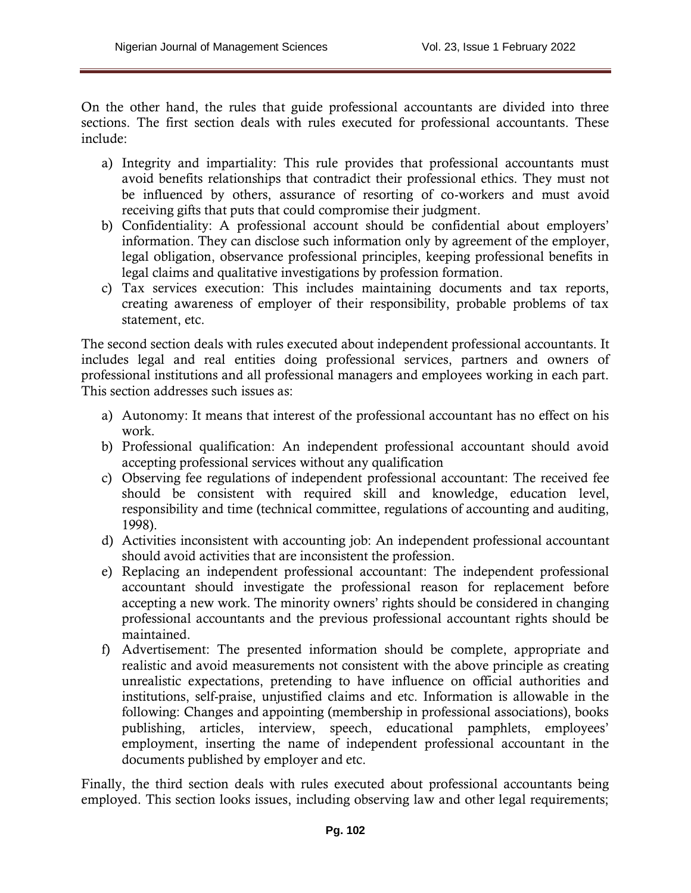On the other hand, the rules that guide professional accountants are divided into three sections. The first section deals with rules executed for professional accountants. These include:

- a) Integrity and impartiality: This rule provides that professional accountants must avoid benefits relationships that contradict their professional ethics. They must not be influenced by others, assurance of resorting of co-workers and must avoid receiving gifts that puts that could compromise their judgment.
- b) Confidentiality: A professional account should be confidential about employers' information. They can disclose such information only by agreement of the employer, legal obligation, observance professional principles, keeping professional benefits in legal claims and qualitative investigations by profession formation.
- c) Tax services execution: This includes maintaining documents and tax reports, creating awareness of employer of their responsibility, probable problems of tax statement, etc.

The second section deals with rules executed about independent professional accountants. It includes legal and real entities doing professional services, partners and owners of professional institutions and all professional managers and employees working in each part. This section addresses such issues as:

- a) Autonomy: It means that interest of the professional accountant has no effect on his work.
- b) Professional qualification: An independent professional accountant should avoid accepting professional services without any qualification
- c) Observing fee regulations of independent professional accountant: The received fee should be consistent with required skill and knowledge, education level, responsibility and time (technical committee, regulations of accounting and auditing, 1998).
- d) Activities inconsistent with accounting job: An independent professional accountant should avoid activities that are inconsistent the profession.
- e) Replacing an independent professional accountant: The independent professional accountant should investigate the professional reason for replacement before accepting a new work. The minority owners' rights should be considered in changing professional accountants and the previous professional accountant rights should be maintained.
- f) Advertisement: The presented information should be complete, appropriate and realistic and avoid measurements not consistent with the above principle as creating unrealistic expectations, pretending to have influence on official authorities and institutions, self-praise, unjustified claims and etc. Information is allowable in the following: Changes and appointing (membership in professional associations), books publishing, articles, interview, speech, educational pamphlets, employees' employment, inserting the name of independent professional accountant in the documents published by employer and etc.

Finally, the third section deals with rules executed about professional accountants being employed. This section looks issues, including observing law and other legal requirements;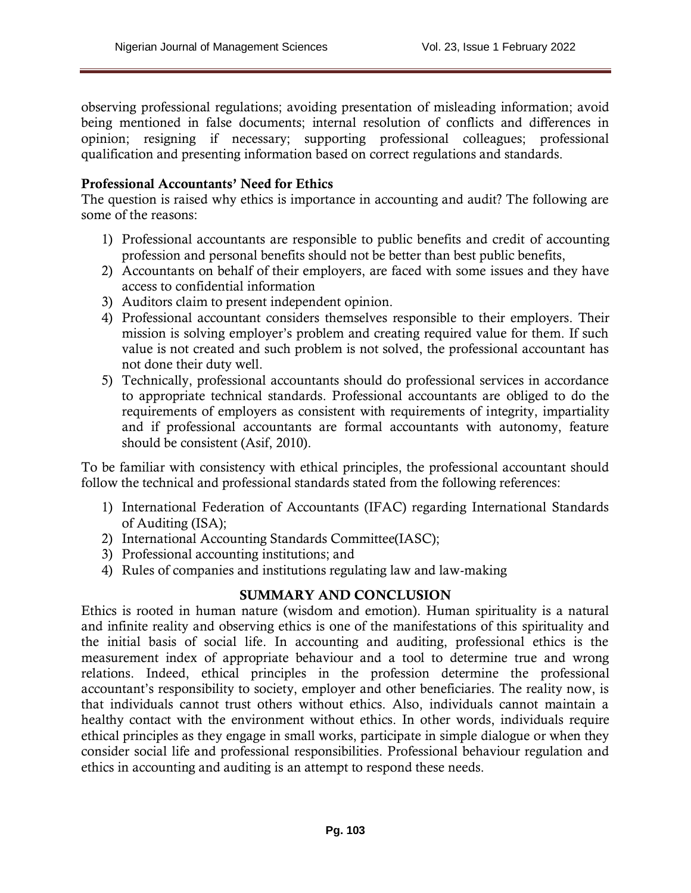observing professional regulations; avoiding presentation of misleading information; avoid being mentioned in false documents; internal resolution of conflicts and differences in opinion; resigning if necessary; supporting professional colleagues; professional qualification and presenting information based on correct regulations and standards.

## **Professional Accountants' Need for Ethics**

The question is raised why ethics is importance in accounting and audit? The following are some of the reasons:

- 1) Professional accountants are responsible to public benefits and credit of accounting profession and personal benefits should not be better than best public benefits,
- 2) Accountants on behalf of their employers, are faced with some issues and they have access to confidential information
- 3) Auditors claim to present independent opinion.
- 4) Professional accountant considers themselves responsible to their employers. Their mission is solving employer's problem and creating required value for them. If such value is not created and such problem is not solved, the professional accountant has not done their duty well.
- 5) Technically, professional accountants should do professional services in accordance to appropriate technical standards. Professional accountants are obliged to do the requirements of employers as consistent with requirements of integrity, impartiality and if professional accountants are formal accountants with autonomy, feature should be consistent (Asif, 2010).

To be familiar with consistency with ethical principles, the professional accountant should follow the technical and professional standards stated from the following references:

- 1) International Federation of Accountants (IFAC) regarding International Standards of Auditing (ISA);
- 2) International Accounting Standards Committee(IASC);
- 3) Professional accounting institutions; and
- 4) Rules of companies and institutions regulating law and law-making

# **SUMMARY AND CONCLUSION**

Ethics is rooted in human nature (wisdom and emotion). Human spirituality is a natural and infinite reality and observing ethics is one of the manifestations of this spirituality and the initial basis of social life. In accounting and auditing, professional ethics is the measurement index of appropriate behaviour and a tool to determine true and wrong relations. Indeed, ethical principles in the profession determine the professional accountant's responsibility to society, employer and other beneficiaries. The reality now, is that individuals cannot trust others without ethics. Also, individuals cannot maintain a healthy contact with the environment without ethics. In other words, individuals require ethical principles as they engage in small works, participate in simple dialogue or when they consider social life and professional responsibilities. Professional behaviour regulation and ethics in accounting and auditing is an attempt to respond these needs.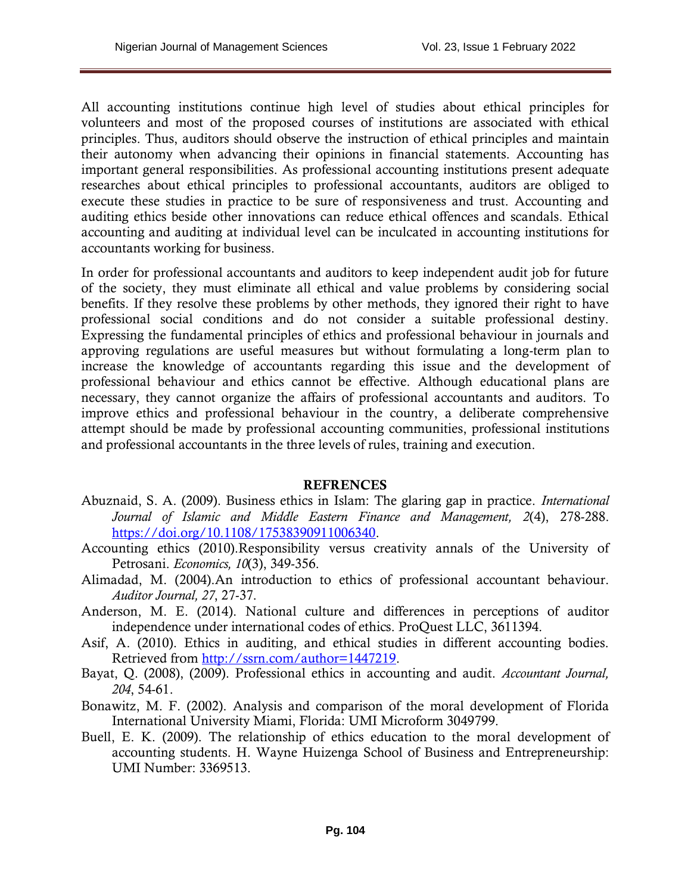All accounting institutions continue high level of studies about ethical principles for volunteers and most of the proposed courses of institutions are associated with ethical principles. Thus, auditors should observe the instruction of ethical principles and maintain their autonomy when advancing their opinions in financial statements. Accounting has important general responsibilities. As professional accounting institutions present adequate researches about ethical principles to professional accountants, auditors are obliged to execute these studies in practice to be sure of responsiveness and trust. Accounting and auditing ethics beside other innovations can reduce ethical offences and scandals. Ethical accounting and auditing at individual level can be inculcated in accounting institutions for accountants working for business.

In order for professional accountants and auditors to keep independent audit job for future of the society, they must eliminate all ethical and value problems by considering social benefits. If they resolve these problems by other methods, they ignored their right to have professional social conditions and do not consider a suitable professional destiny. Expressing the fundamental principles of ethics and professional behaviour in journals and approving regulations are useful measures but without formulating a long-term plan to increase the knowledge of accountants regarding this issue and the development of professional behaviour and ethics cannot be effective. Although educational plans are necessary, they cannot organize the affairs of professional accountants and auditors. To improve ethics and professional behaviour in the country, a deliberate comprehensive attempt should be made by professional accounting communities, professional institutions and professional accountants in the three levels of rules, training and execution.

### **REFRENCES**

- Abuznaid, S. A. (2009). Business ethics in Islam: The glaring gap in practice. *International Journal of Islamic and Middle Eastern Finance and Management, 2*(4), 278-288. [https://doi.org/10.1108/17538390911006340.](https://doi.org/10.1108/17538390911006340)
- Accounting ethics (2010).Responsibility versus creativity annals of the University of Petrosani. *Economics, 10*(3), 349-356.
- Alimadad, M. (2004).An introduction to ethics of professional accountant behaviour. *Auditor Journal, 27*, 27-37.
- Anderson, M. E. (2014). National culture and differences in perceptions of auditor independence under international codes of ethics. ProQuest LLC, 3611394.
- Asif, A. (2010). Ethics in auditing, and ethical studies in different accounting bodies. Retrieved from [http://ssrn.com/author=1447219.](http://ssrn.com/author=1447219)
- Bayat, Q. (2008), (2009). Professional ethics in accounting and audit. *Accountant Journal, 204*, 54-61.
- Bonawitz, M. F. (2002). Analysis and comparison of the moral development of Florida International University Miami, Florida: UMI Microform 3049799.
- Buell, E. K. (2009). The relationship of ethics education to the moral development of accounting students. H. Wayne Huizenga School of Business and Entrepreneurship: UMI Number: 3369513.